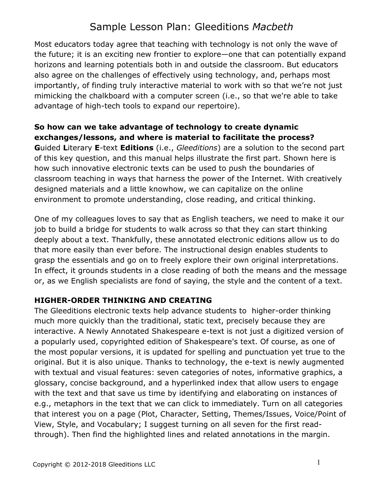# Sample Lesson Plan: Gleeditions *Macbeth*

Most educators today agree that teaching with technology is not only the wave of the future; it is an exciting new frontier to explore—one that can potentially expand horizons and learning potentials both in and outside the classroom. But educators also agree on the challenges of effectively using technology, and, perhaps most importantly, of finding truly interactive material to work with so that we're not just mimicking the chalkboard with a computer screen (i.e., so that we're able to take advantage of high-tech tools to expand our repertoire).

### **So how can we take advantage of technology to create dynamic exchanges/lessons, and where is material to facilitate the process?**

**G**uided **L**iterary **E**-text **Editions** (i.e., *Gleeditions*) are a solution to the second part of this key question, and this manual helps illustrate the first part. Shown here is how such innovative electronic texts can be used to push the boundaries of classroom teaching in ways that harness the power of the Internet. With creatively designed materials and a little knowhow, we can capitalize on the online environment to promote understanding, close reading, and critical thinking.

One of my colleagues loves to say that as English teachers, we need to make it our job to build a bridge for students to walk across so that they can start thinking deeply about a text. Thankfully, these annotated electronic editions allow us to do that more easily than ever before. The instructional design enables students to grasp the essentials and go on to freely explore their own original interpretations. In effect, it grounds students in a close reading of both the means and the message or, as we English specialists are fond of saying, the style and the content of a text.

# **HIGHER-ORDER THINKING AND CREATING**

The Gleeditions electronic texts help advance students to higher-order thinking much more quickly than the traditional, static text, precisely because they are interactive. A Newly Annotated Shakespeare e-text is not just a digitized version of a popularly used, copyrighted edition of Shakespeare's text. Of course, as one of the most popular versions, it is updated for spelling and punctuation yet true to the original. But it is also unique. Thanks to technology, the e-text is newly augmented with textual and visual features: seven categories of notes, informative graphics, a glossary, concise background, and a hyperlinked index that allow users to engage with the text and that save us time by identifying and elaborating on instances of e.g., metaphors in the text that we can click to immediately. Turn on all categories that interest you on a page (Plot, Character, Setting, Themes/Issues, Voice/Point of View, Style, and Vocabulary; I suggest turning on all seven for the first readthrough). Then find the highlighted lines and related annotations in the margin.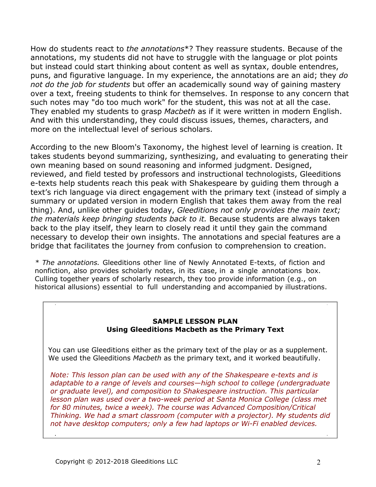How do students react to *the annotations*\*? They reassure students. Because of the annotations, my students did not have to struggle with the language or plot points but instead could start thinking about content as well as syntax, double entendres, puns, and figurative language. In my experience, the annotations are an aid; they *do not do the job for students* but offer an academically sound way of gaining mastery over a text, freeing students to think for themselves. In response to any concern that such notes may "do too much work" for the student, this was not at all the case. They enabled my students to grasp *Macbeth* as if it were written in modern English. And with this understanding, they could discuss issues, themes, characters, and more on the intellectual level of serious scholars.

According to the new Bloom's Taxonomy, the highest level of learning is creation. It takes students beyond summarizing, synthesizing, and evaluating to generating their own meaning based on sound reasoning and informed judgment. Designed, reviewed, and field tested by professors and instructional technologists, Gleeditions e-texts help students reach this peak with Shakespeare by guiding them through a text's rich language via direct engagement with the primary text (instead of simply a summary or updated version in modern English that takes them away from the real thing). And, unlike other guides today, *Gleeditions not only provides the main text; the materials keep bringing students back to it.* Because students are always taken back to the play itself, they learn to closely read it until they gain the command necessary to develop their own insights. The annotations and special features are a bridge that facilitates the journey from confusion to comprehension to creation.

*\* The annotations.* Gleeditions other line of Newly Annotated E-texts, of fiction and nonfiction, also provides scholarly notes, in its case, in a single annotations box. Culling together years of scholarly research, they too provide information (e.g., on historical allusions) essential to full understanding and accompanied by illustrations.

#### **SAMPLE LESSON PLAN Using Gleeditions Macbeth as the Primary Text**

You can use Gleeditions either as the primary text of the play or as a supplement. We used the Gleeditions *Macbeth* as the primary text, and it worked beautifully.

*Note: This lesson plan can be used with any of the Shakespeare e-texts and is adaptable to a range of levels and courses—high school to college (undergraduate or graduate level), and composition to Shakespeare instruction. This particular*  lesson plan was used over a two-week period at Santa Monica College (class met *for 80 minutes, twice a week). The course was Advanced Composition/Critical Thinking. We had a smart classroom (computer with a projector). My students did not have desktop computers; only a few had laptops or Wi-Fi enabled devices.*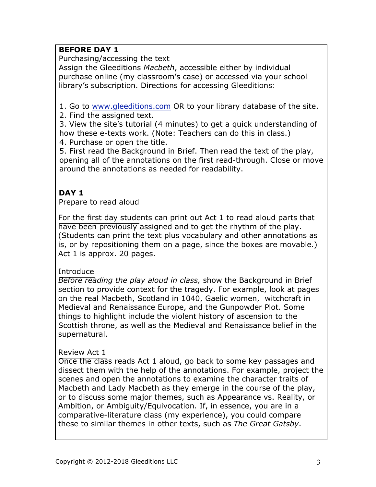# **BEFORE DAY 1**

Purchasing/accessing the text

Assign the Gleeditions *Macbeth*, accessible either by individual purchase online (my classroom's case) or accessed via your school library's subscription. Directions for accessing Gleeditions:

1. Go to www.gleeditions.com OR to your library database of the site.

2. Find the assigned text.

3. View the site's tutorial (4 minutes) to get a quick understanding of how these e-texts work. (Note: Teachers can do this in class.)

4. Purchase or open the title.

5. First read the Background in Brief. Then read the text of the play, opening all of the annotations on the first read-through. Close or move around the annotations as needed for readability.

# **DAY 1**

Prepare to read aloud

For the first day students can print out Act 1 to read aloud parts that have been previously assigned and to get the rhythm of the play. (Students can print the text plus vocabulary and other annotations as is, or by repositioning them on a page, since the boxes are movable.) Act 1 is approx. 20 pages.

### Introduce

*Before reading the play aloud in class,* show the Background in Brief section to provide context for the tragedy. For example, look at pages on the real Macbeth, Scotland in 1040, Gaelic women, witchcraft in Medieval and Renaissance Europe, and the Gunpowder Plot. Some things to highlight include the violent history of ascension to the Scottish throne, as well as the Medieval and Renaissance belief in the supernatural.

### Review Act 1

Once the class reads Act 1 aloud, go back to some key passages and dissect them with the help of the annotations. For example, project the scenes and open the annotations to examine the character traits of Macbeth and Lady Macbeth as they emerge in the course of the play, or to discuss some major themes, such as Appearance vs. Reality, or Ambition, or Ambiguity/Equivocation. If, in essence, you are in a comparative-literature class (my experience), you could compare these to similar themes in other texts, such as *The Great Gatsby*.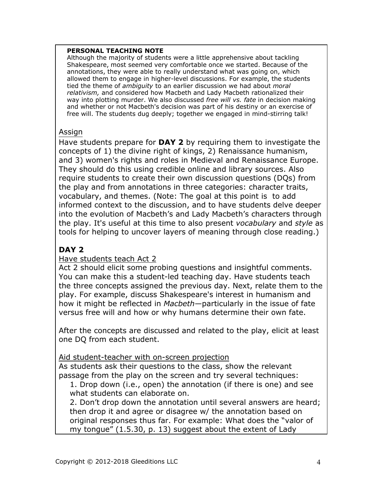#### **PERSONAL TEACHING NOTE**

Although the majority of students were a little apprehensive about tackling Shakespeare, most seemed very comfortable once we started. Because of the annotations, they were able to really understand what was going on, which allowed them to engage in higher-level discussions. For example, the students tied the theme of *ambiguity* to an earlier discussion we had about *moral relativism,* and considered how Macbeth and Lady Macbeth rationalized their way into plotting murder. We also discussed *free will vs. fate* in decision making and whether or not Macbeth's decision was part of his destiny or an exercise of free will. The students dug deeply; together we engaged in mind-stirring talk!

### Assign

Have students prepare for **DAY 2** by requiring them to investigate the concepts of 1) the divine right of kings, 2) Renaissance humanism, and 3) women's rights and roles in Medieval and Renaissance Europe. They should do this using credible online and library sources. Also require students to create their own discussion questions (DQs) from the play and from annotations in three categories: character traits, vocabulary, and themes. (Note: The goal at this point is to add informed context to the discussion, and to have students delve deeper into the evolution of Macbeth's and Lady Macbeth's characters through the play. It's useful at this time to also present *vocabulary* and *style* as tools for helping to uncover layers of meaning through close reading.)

# **DAY 2**

### Have students teach Act 2

Act 2 should elicit some probing questions and insightful comments. You can make this a student-led teaching day. Have students teach the three concepts assigned the previous day. Next, relate them to the play. For example, discuss Shakespeare's interest in humanism and how it might be reflected in *Macbeth*—particularly in the issue of fate versus free will and how or why humans determine their own fate.

After the concepts are discussed and related to the play, elicit at least one DQ from each student.

Aid student-teacher with on-screen projection

As students ask their questions to the class, show the relevant passage from the play on the screen and try several techniques:

1. Drop down (i.e., open) the annotation (if there is one) and see what students can elaborate on.

2. Don't drop down the annotation until several answers are heard; then drop it and agree or disagree w/ the annotation based on original responses thus far. For example: What does the "valor of my tongue" (1.5.30, p. 13) suggest about the extent of Lady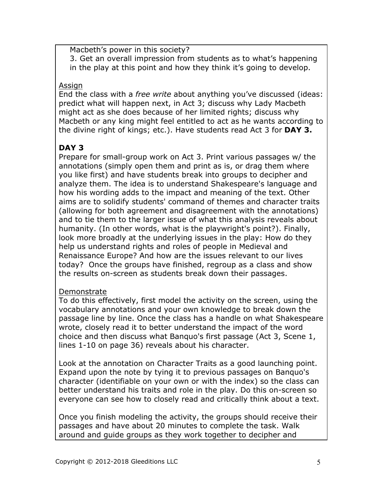Macbeth's power in this society? 3. Get an overall impression from students as to what's happening in the play at this point and how they think it's going to develop.

### Assign

End the class with a *free write* about anything you've discussed (ideas: predict what will happen next, in Act 3; discuss why Lady Macbeth might act as she does because of her limited rights; discuss why Macbeth or any king might feel entitled to act as he wants according to the divine right of kings; etc.). Have students read Act 3 for **DAY 3.** 

# **DAY 3**

Prepare for small-group work on Act 3. Print various passages w/ the annotations (simply open them and print as is, or drag them where you like first) and have students break into groups to decipher and analyze them. The idea is to understand Shakespeare's language and how his wording adds to the impact and meaning of the text. Other aims are to solidify students' command of themes and character traits (allowing for both agreement and disagreement with the annotations) and to tie them to the larger issue of what this analysis reveals about humanity. (In other words, what is the playwright's point?). Finally, look more broadly at the underlying issues in the play: How do they help us understand rights and roles of people in Medieval and Renaissance Europe? And how are the issues relevant to our lives today? Once the groups have finished, regroup as a class and show the results on-screen as students break down their passages.

# Demonstrate

To do this effectively, first model the activity on the screen, using the vocabulary annotations and your own knowledge to break down the passage line by line. Once the class has a handle on what Shakespeare wrote, closely read it to better understand the impact of the word choice and then discuss what Banquo's first passage (Act 3, Scene 1, lines 1-10 on page 36) reveals about his character.

Look at the annotation on Character Traits as a good launching point. Expand upon the note by tying it to previous passages on Banquo's character (identifiable on your own or with the index) so the class can better understand his traits and role in the play. Do this on-screen so everyone can see how to closely read and critically think about a text.

Once you finish modeling the activity, the groups should receive their passages and have about 20 minutes to complete the task. Walk around and guide groups as they work together to decipher and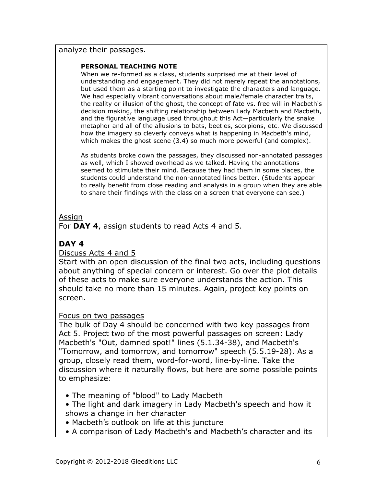#### analyze their passages.

#### **PERSONAL TEACHING NOTE**

When we re-formed as a class, students surprised me at their level of understanding and engagement. They did not merely repeat the annotations, but used them as a starting point to investigate the characters and language. We had especially vibrant conversations about male/female character traits, the reality or illusion of the ghost, the concept of fate vs. free will in Macbeth's decision making, the shifting relationship between Lady Macbeth and Macbeth, and the figurative language used throughout this Act—particularly the snake metaphor and all of the allusions to bats, beetles, scorpions, etc. We discussed how the imagery so cleverly conveys what is happening in Macbeth's mind, which makes the ghost scene (3.4) so much more powerful (and complex).

As students broke down the passages, they discussed non-annotated passages as well, which I showed overhead as we talked. Having the annotations seemed to stimulate their mind. Because they had them in some places, the students could understand the non-annotated lines better. (Students appear to really benefit from close reading and analysis in a group when they are able to share their findings with the class on a screen that everyone can see.)

#### Assign

For **DAY 4**, assign students to read Acts 4 and 5.

# **DAY 4**

#### Discuss Acts 4 and 5

Start with an open discussion of the final two acts, including questions about anything of special concern or interest. Go over the plot details of these acts to make sure everyone understands the action. This should take no more than 15 minutes. Again, project key points on screen.

#### Focus on two passages

The bulk of Day 4 should be concerned with two key passages from Act 5. Project two of the most powerful passages on screen: Lady Macbeth's "Out, damned spot!" lines (5.1.34-38), and Macbeth's "Tomorrow, and tomorrow, and tomorrow" speech (5.5.19-28). As a group, closely read them, word-for-word, line-by-line. Take the discussion where it naturally flows, but here are some possible points to emphasize:

- The meaning of "blood" to Lady Macbeth
- The light and dark imagery in Lady Macbeth's speech and how it shows a change in her character
- Macbeth's outlook on life at this juncture
- A comparison of Lady Macbeth's and Macbeth's character and its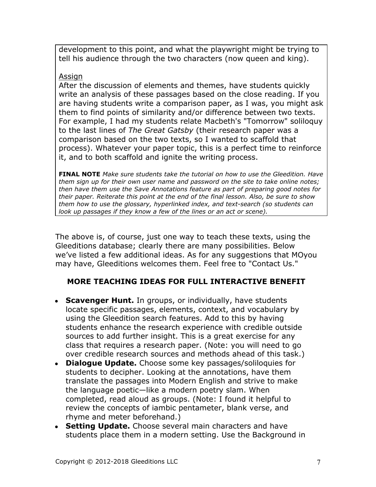development to this point, and what the playwright might be trying to tell his audience through the two characters (now queen and king).

### Assign

After the discussion of elements and themes, have students quickly write an analysis of these passages based on the close reading. If you are having students write a comparison paper, as I was, you might ask them to find points of similarity and/or difference between two texts. For example, I had my students relate Macbeth's "Tomorrow" soliloquy to the last lines of *The Great Gatsby* (their research paper was a comparison based on the two texts, so I wanted to scaffold that process). Whatever your paper topic, this is a perfect time to reinforce it, and to both scaffold and ignite the writing process.

**FINAL NOTE** *Make sure students take the tutorial on how to use the Gleedition. Have them sign up for their own user name and password on the site to take online notes; then have them use the Save Annotations feature as part of preparing good notes for their paper. Reiterate this point at the end of the final lesson. Also, be sure to show them how to use the glossary, hyperlinked index, and text-search (so students can look up passages if they know a few of the lines or an act or scene*).

The above is, of course, just one way to teach these texts, using the Gleeditions database; clearly there are many possibilities. Below we've listed a few additional ideas. As for any suggestions that MOyou may have, Gleeditions welcomes them. Feel free to "Contact Us."

# **MORE TEACHING IDEAS FOR FULL INTERACTIVE BENEFIT**

- Scavenger Hunt. In groups, or individually, have students locate specific passages, elements, context, and vocabulary by using the Gleedition search features. Add to this by having students enhance the research experience with credible outside sources to add further insight. This is a great exercise for any class that requires a research paper. (Note: you will need to go over credible research sources and methods ahead of this task.)
- **Dialogue Update.** Choose some key passages/soliloquies for students to decipher. Looking at the annotations, have them translate the passages into Modern English and strive to make the language poetic—like a modern poetry slam. When completed, read aloud as groups. (Note: I found it helpful to review the concepts of iambic pentameter, blank verse, and rhyme and meter beforehand.)
- Setting Update. Choose several main characters and have students place them in a modern setting. Use the Background in